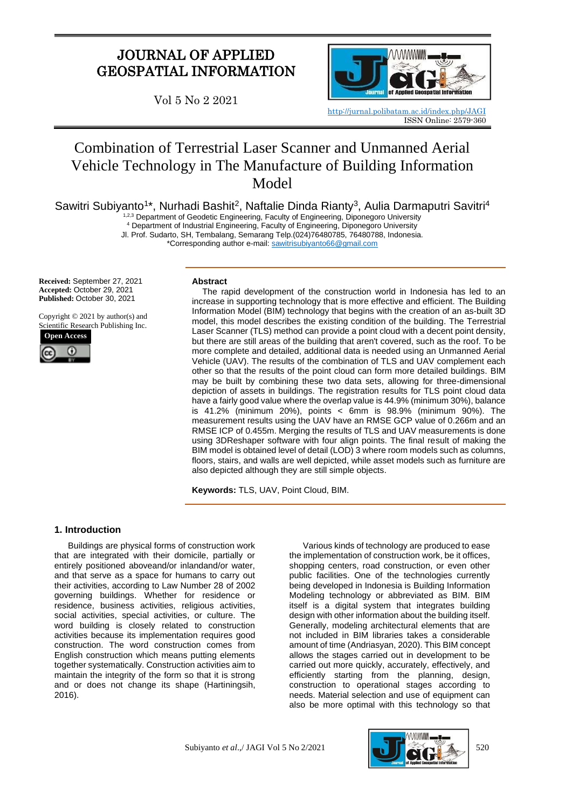# JOURNAL OF APPLIED GEOSPATIAL INFORMATION

Vol 5 No 2 2021



<http://jurnal.polibatam.ac.id/index.php/JAGI> ISSN Online: 2579-360

# Combination of Terrestrial Laser Scanner and Unmanned Aerial Vehicle Technology in The Manufacture of Building Information Model

Sawitri Subiyanto<sup>1\*</sup>, Nurhadi Bashit<sup>2</sup>, Naftalie Dinda Rianty<sup>3</sup>, Aulia Darmaputri Savitri<sup>4</sup>

1,2,3 Department of Geodetic Engineering, Faculty of Engineering, Diponegoro University

<sup>4</sup> Department of Industrial Engineering, Faculty of Engineering, Diponegoro University

Jl. Prof. Sudarto, SH, Tembalang, Semarang Telp.(024)76480785, 76480788, Indonesia.

\*Corresponding author e-mail: [sawitrisubiyanto66@gmail.com](mailto:sawitrisubiyanto66@gmail.com)

**Received:** September 27, 2021 **Accepted:** October 29, 2021 **Published:** October 30, 2021

Copyright © 2021 by author(s) and Scientific Research Publishing Inc.



#### **Abstract**

The rapid development of the construction world in Indonesia has led to an increase in supporting technology that is more effective and efficient. The Building Information Model (BIM) technology that begins with the creation of an as-built 3D model, this model describes the existing condition of the building. The Terrestrial Laser Scanner (TLS) method can provide a point cloud with a decent point density, but there are still areas of the building that aren't covered, such as the roof. To be more complete and detailed, additional data is needed using an Unmanned Aerial Vehicle (UAV). The results of the combination of TLS and UAV complement each other so that the results of the point cloud can form more detailed buildings. BIM may be built by combining these two data sets, allowing for three-dimensional depiction of assets in buildings. The registration results for TLS point cloud data have a fairly good value where the overlap value is 44.9% (minimum 30%), balance is 41.2% (minimum 20%), points < 6mm is 98.9% (minimum 90%). The measurement results using the UAV have an RMSE GCP value of 0.266m and an RMSE ICP of 0.455m. Merging the results of TLS and UAV measurements is done using 3DReshaper software with four align points. The final result of making the BIM model is obtained level of detail (LOD) 3 where room models such as columns, floors, stairs, and walls are well depicted, while asset models such as furniture are also depicted although they are still simple objects.

**Keywords:** TLS, UAV, Point Cloud, BIM.

## **1. Introduction**

Buildings are physical forms of construction work that are integrated with their domicile, partially or entirely positioned aboveand/or inlandand/or water, and that serve as a space for humans to carry out their activities, according to Law Number 28 of 2002 governing buildings. Whether for residence or residence, business activities, religious activities, social activities, special activities, or culture. The word building is closely related to construction activities because its implementation requires good construction. The word construction comes from English construction which means putting elements together systematically. Construction activities aim to maintain the integrity of the form so that it is strong and or does not change its shape (Hartiningsih, 2016).

Various kinds of technology are produced to ease the implementation of construction work, be it offices, shopping centers, road construction, or even other public facilities. One of the technologies currently being developed in Indonesia is Building Information Modeling technology or abbreviated as BIM. BIM itself is a digital system that integrates building design with other information about the building itself. Generally, modeling architectural elements that are not included in BIM libraries takes a considerable amount of time (Andriasyan, 2020). This BIM concept allows the stages carried out in development to be carried out more quickly, accurately, effectively, and efficiently starting from the planning, design, construction to operational stages according to needs. Material selection and use of equipment can also be more optimal with this technology so that

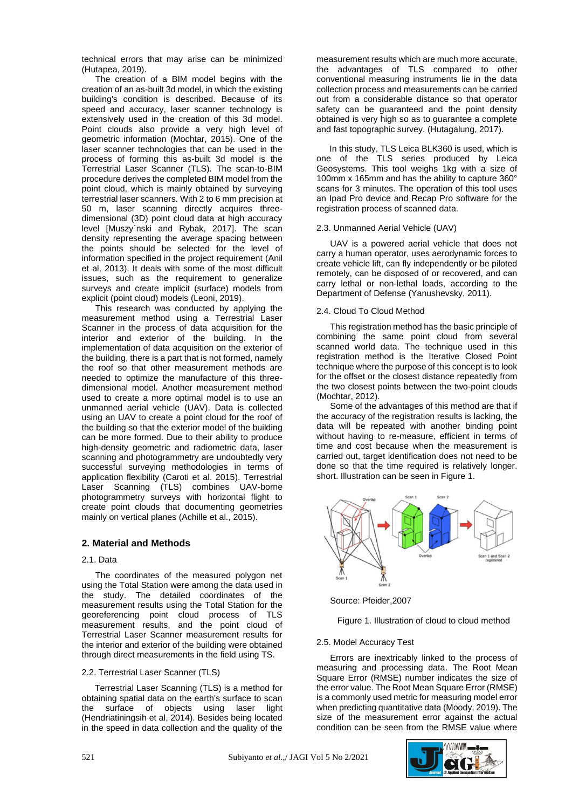technical errors that may arise can be minimized (Hutapea, 2019).

The creation of a BIM model begins with the creation of an as-built 3d model, in which the existing building's condition is described. Because of its speed and accuracy, laser scanner technology is extensively used in the creation of this 3d model. Point clouds also provide a very high level of geometric information (Mochtar, 2015). One of the laser scanner technologies that can be used in the process of forming this as-built 3d model is the Terrestrial Laser Scanner (TLS). The scan-to-BIM procedure derives the completed BIM model from the point cloud, which is mainly obtained by surveying terrestrial laser scanners. With 2 to 6 mm precision at 50 m, laser scanning directly acquires threedimensional (3D) point cloud data at high accuracy level [Muszy´nski and Rybak, 2017]. The scan density representing the average spacing between the points should be selected for the level of information specified in the project requirement (Anil et al, 2013). It deals with some of the most difficult issues, such as the requirement to generalize surveys and create implicit (surface) models from explicit (point cloud) models (Leoni, 2019).

This research was conducted by applying the measurement method using a Terrestrial Laser Scanner in the process of data acquisition for the interior and exterior of the building. In the implementation of data acquisition on the exterior of the building, there is a part that is not formed, namely the roof so that other measurement methods are needed to optimize the manufacture of this threedimensional model. Another measurement method used to create a more optimal model is to use an unmanned aerial vehicle (UAV). Data is collected using an UAV to create a point cloud for the roof of the building so that the exterior model of the building can be more formed. Due to their ability to produce high-density geometric and radiometric data, laser scanning and photogrammetry are undoubtedly very successful surveying methodologies in terms of application flexibility (Caroti et al. 2015). Terrestrial Laser Scanning (TLS) combines UAV-borne photogrammetry surveys with horizontal flight to create point clouds that documenting geometries mainly on vertical planes (Achille et al., 2015).

# **2. Material and Methods**

## 2.1. Data

The coordinates of the measured polygon net using the Total Station were among the data used in the study. The detailed coordinates of the measurement results using the Total Station for the georeferencing point cloud process of TLS measurement results, and the point cloud of Terrestrial Laser Scanner measurement results for the interior and exterior of the building were obtained through direct measurements in the field using TS.

## 2.2. Terrestrial Laser Scanner (TLS)

Terrestrial Laser Scanning (TLS) is a method for obtaining spatial data on the earth's surface to scan the surface of objects using laser light (Hendriatiningsih et al, 2014). Besides being located in the speed in data collection and the quality of the

measurement results which are much more accurate, the advantages of TLS compared to other conventional measuring instruments lie in the data collection process and measurements can be carried out from a considerable distance so that operator safety can be guaranteed and the point density obtained is very high so as to guarantee a complete and fast topographic survey. (Hutagalung, 2017).

In this study, TLS Leica BLK360 is used, which is one of the TLS series produced by Leica Geosystems. This tool weighs 1kg with a size of 100mm x 165mm and has the ability to capture 360° scans for 3 minutes. The operation of this tool uses an Ipad Pro device and Recap Pro software for the registration process of scanned data.

## 2.3. Unmanned Aerial Vehicle (UAV)

UAV is a powered aerial vehicle that does not carry a human operator, uses aerodynamic forces to create vehicle lift, can fly independently or be piloted remotely, can be disposed of or recovered, and can carry lethal or non-lethal loads, according to the Department of Defense (Yanushevsky, 2011).

# 2.4. Cloud To Cloud Method

This registration method has the basic principle of combining the same point cloud from several scanned world data. The technique used in this registration method is the Iterative Closed Point technique where the purpose of this concept is to look for the offset or the closest distance repeatedly from the two closest points between the two-point clouds (Mochtar, 2012).

Some of the advantages of this method are that if the accuracy of the registration results is lacking, the data will be repeated with another binding point without having to re-measure, efficient in terms of time and cost because when the measurement is carried out, target identification does not need to be done so that the time required is relatively longer. short. Illustration can be seen in Figure 1.



Source: Pfeider,2007

Figure 1. Illustration of cloud to cloud method

# 2.5. Model Accuracy Test

Errors are inextricably linked to the process of measuring and processing data. The Root Mean Square Error (RMSE) number indicates the size of the error value. The Root Mean Square Error (RMSE) is a commonly used metric for measuring model error when predicting quantitative data (Moody, 2019). The size of the measurement error against the actual condition can be seen from the RMSE value where

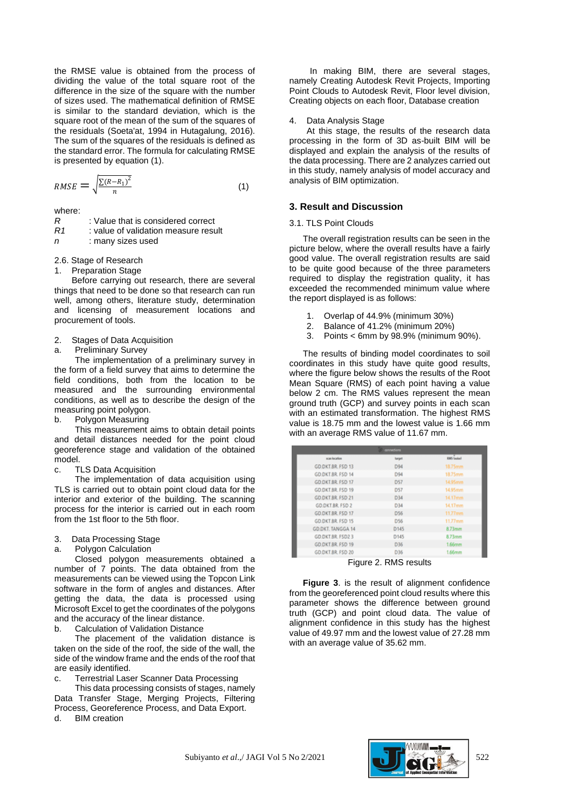the RMSE value is obtained from the process of dividing the value of the total square root of the difference in the size of the square with the number of sizes used. The mathematical definition of RMSE is similar to the standard deviation, which is the square root of the mean of the sum of the squares of the residuals (Soeta'at, 1994 in Hutagalung, 2016). The sum of the squares of the residuals is defined as the standard error. The formula for calculating RMSE is presented by equation (1).

$$
RMSE = \sqrt{\frac{\sum (R - R_1)^2}{n}}
$$
 (1)

where:

*R* : Value that is considered correct

*R1* : value of validation measure result *n* : many sizes used

2.6. Stage of Research

1. Preparation Stage

Before carrying out research, there are several things that need to be done so that research can run well, among others, literature study, determination and licensing of measurement locations and procurement of tools.

2. Stages of Data Acquisition

a. Preliminary Survey

The implementation of a preliminary survey in the form of a field survey that aims to determine the field conditions, both from the location to be measured and the surrounding environmental conditions, as well as to describe the design of the measuring point polygon.

b. Polygon Measuring

This measurement aims to obtain detail points and detail distances needed for the point cloud georeference stage and validation of the obtained model.

c. TLS Data Acquisition

The implementation of data acquisition using TLS is carried out to obtain point cloud data for the interior and exterior of the building. The scanning process for the interior is carried out in each room from the 1st floor to the 5th floor.

- 3. Data Processing Stage
- a. Polygon Calculation

Closed polygon measurements obtained a number of 7 points. The data obtained from the measurements can be viewed using the Topcon Link software in the form of angles and distances. After getting the data, the data is processed using Microsoft Excel to get the coordinates of the polygons and the accuracy of the linear distance.

b. Calculation of Validation Distance

The placement of the validation distance is taken on the side of the roof, the side of the wall, the side of the window frame and the ends of the roof that are easily identified.

c. Terrestrial Laser Scanner Data Processing

This data processing consists of stages, namely Data Transfer Stage, Merging Projects, Filtering Process, Georeference Process, and Data Export. d. BIM creation

In making BIM, there are several stages, namely Creating Autodesk Revit Projects, Importing Point Clouds to Autodesk Revit, Floor level division, Creating objects on each floor, Database creation

#### 4. Data Analysis Stage

At this stage, the results of the research data processing in the form of 3D as-built BIM will be displayed and explain the analysis of the results of the data processing. There are 2 analyzes carried out in this study, namely analysis of model accuracy and analysis of BIM optimization.

# **3. Result and Discussion**

#### 3.1. TLS Point Clouds

The overall registration results can be seen in the picture below, where the overall results have a fairly good value. The overall registration results are said to be quite good because of the three parameters required to display the registration quality, it has exceeded the recommended minimum value where the report displayed is as follows:

- 1. Overlap of 44.9% (minimum 30%)
- 2. Balance of 41.2% (minimum 20%)
- 3. Points < 6mm by 98.9% (minimum 90%).

The results of binding model coordinates to soil coordinates in this study have quite good results, where the figure below shows the results of the Root Mean Square (RMS) of each point having a value below 2 cm. The RMS values represent the mean ground truth (GCP) and survey points in each scan with an estimated transformation. The highest RMS value is 18.75 mm and the lowest value is 1.66 mm with an average RMS value of 11.67 mm.

| connections             |                 |                    |  |  |  |
|-------------------------|-----------------|--------------------|--|--|--|
| scan location           | target          | <b>RMS</b> (notas) |  |  |  |
| GD.DKT.BR. FSD 13       | D94             | 18.75mm            |  |  |  |
| GD.DKT.BR. FSD 14       | D94             | 18.75mm            |  |  |  |
| GD.DKT.BR. FSD 17       | D57             | 14.95mm            |  |  |  |
| GD.DKT.BR. FSD 19       | <b>D57</b>      | 14.95mm            |  |  |  |
| GD.DKT.BR. FSD 21       | D34             | 14.17mm            |  |  |  |
| <b>GD.DKT.BR. FSD 2</b> | D34             | 14.17mm            |  |  |  |
| GD.DKT.BR. FSD 17       | D <sub>56</sub> | 11.77mm            |  |  |  |
| GD.DKT.BR. FSD 15       | <b>D56</b>      | $11.77$ mm         |  |  |  |
| GD.DKT. TANGGA 14       | D145            | 8.73mm             |  |  |  |
| GD.DKT.BR. FSD2 3       | D145            | 8.73mm             |  |  |  |
| GD.DKT.BR. FSD 19       | D36             | 1.66mm             |  |  |  |
| GD.DKT.BR. FSD 20       | D36             | 1.66mm             |  |  |  |
| $ \sim$                 |                 |                    |  |  |  |

Figure 2. RMS results

**Figure 3**. is the result of alignment confidence from the georeferenced point cloud results where this parameter shows the difference between ground truth (GCP) and point cloud data. The value of alignment confidence in this study has the highest value of 49.97 mm and the lowest value of 27.28 mm with an average value of 35.62 mm.

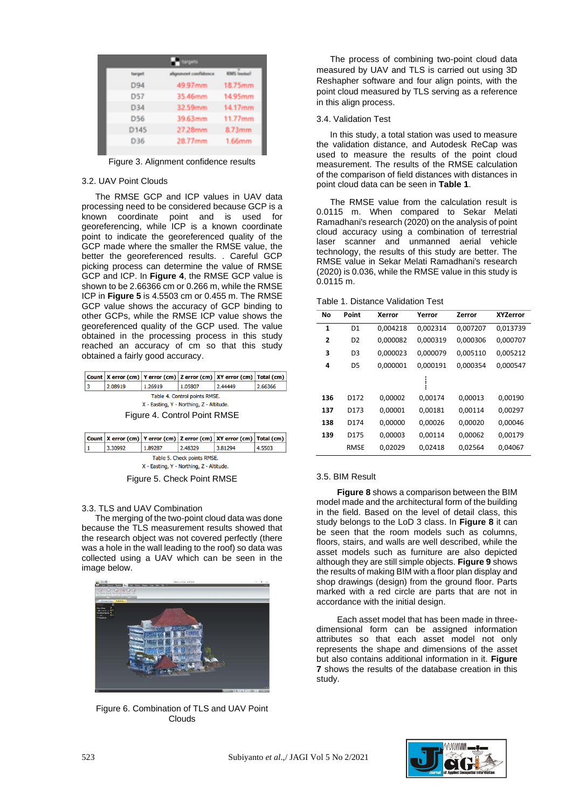|          | <b>The Moore</b>     |                    |
|----------|----------------------|--------------------|
| Sergell. | slignment confidence | <b>Englishment</b> |
| D94      | 49.97mm              | 18.75mm            |
| D57      | 35.46mm              | 14.95mm            |
| D34      | 32.59mm              | 14.17mm            |
| D56      | 39.63mm              | 11.77mm            |
| D145     | 27.28mm              | 8.73mm             |
| D36      | 28.77mm              | 1.66mm             |
|          |                      |                    |

Figure 3. Alignment confidence results

## 3.2. UAV Point Clouds

The RMSE GCP and ICP values in UAV data processing need to be considered because GCP is a known coordinate point and is used for georeferencing, while ICP is a known coordinate point to indicate the georeferenced quality of the GCP made where the smaller the RMSE value, the better the georeferenced results. . Careful GCP picking process can determine the value of RMSE GCP and ICP. In **Figure 4**, the RMSE GCP value is shown to be 2.66366 cm or 0.266 m, while the RMSE ICP in **Figure 5** is 4.5503 cm or 0.455 m. The RMSE GCP value shows the accuracy of GCP binding to other GCPs, while the RMSE ICP value shows the georeferenced quality of the GCP used. The value obtained in the processing process in this study reached an accuracy of cm so that this study obtained a fairly good accuracy.

|                                          |                              |         |         | Count   X error (cm)   Y error (cm)   Z error (cm)   XY error (cm)   Total (cm) |         |  |
|------------------------------------------|------------------------------|---------|---------|---------------------------------------------------------------------------------|---------|--|
| 3                                        | 2.08919                      | 1.26919 | 1.05807 | 2.44449                                                                         | 2.66366 |  |
| Table 4. Control points RMSE.            |                              |         |         |                                                                                 |         |  |
| X - Easting, Y - Northing, Z - Altitude. |                              |         |         |                                                                                 |         |  |
|                                          | Figure 4. Control Point RMSE |         |         |                                                                                 |         |  |

|                                          |         |         |         | Count   X error (cm)   Y error (cm)   Z error (cm)   XY error (cm)   Total (cm) |        |  |
|------------------------------------------|---------|---------|---------|---------------------------------------------------------------------------------|--------|--|
|                                          | 3.30992 | 1.89287 | 2.48329 | 3.81294                                                                         | 4.5503 |  |
| Table 5. Check points RMSE.              |         |         |         |                                                                                 |        |  |
| X - Easting, Y - Northing, Z - Altitude. |         |         |         |                                                                                 |        |  |

Figure 5. Check Point RMSE

# 3.3. TLS and UAV Combination

The merging of the two-point cloud data was done because the TLS measurement results showed that the research object was not covered perfectly (there was a hole in the wall leading to the roof) so data was collected using a UAV which can be seen in the image below.



Figure 6. Combination of TLS and UAV Point Clouds

The process of combining two-point cloud data measured by UAV and TLS is carried out using 3D Reshapher software and four align points, with the point cloud measured by TLS serving as a reference in this align process.

# 3.4. Validation Test

In this study, a total station was used to measure the validation distance, and Autodesk ReCap was used to measure the results of the point cloud measurement. The results of the RMSE calculation of the comparison of field distances with distances in point cloud data can be seen in **Table 1**.

The RMSE value from the calculation result is 0.0115 m. When compared to Sekar Melati Ramadhani's research (2020) on the analysis of point cloud accuracy using a combination of terrestrial laser scanner and unmanned aerial vehicle technology, the results of this study are better. The RMSE value in Sekar Melati Ramadhani's research (2020) is 0.036, while the RMSE value in this study is 0.0115 m.

|  | Table 1. Distance Validation Test |  |
|--|-----------------------------------|--|
|  |                                   |  |

| No  | Point          | Xerror   | Yerror   | Zerror   | XYZerror |
|-----|----------------|----------|----------|----------|----------|
| 1   | D1             | 0.004218 | 0,002314 | 0,007207 | 0,013739 |
| 2   | D <sub>2</sub> | 0,000082 | 0.000319 | 0.000306 | 0.000707 |
| 3   | D <sub>3</sub> | 0.000023 | 0.000079 | 0.005110 | 0.005212 |
| 4   | D5             | 0.000001 | 0.000191 | 0.000354 | 0.000547 |
|     |                |          |          |          |          |
| 136 | D172           | 0.00002  | 0.00174  | 0.00013  | 0,00190  |
| 137 | D173           | 0,00001  | 0,00181  | 0,00114  | 0,00297  |
| 138 | D174           | 0,00000  | 0,00026  | 0,00020  | 0,00046  |
| 139 | D175           | 0.00003  | 0.00114  | 0.00062  | 0.00179  |
|     | <b>RMSE</b>    | 0.02029  | 0.02418  | 0.02564  | 0.04067  |

## 3.5. BIM Result

**Figure 8** shows a comparison between the BIM model made and the architectural form of the building in the field. Based on the level of detail class, this study belongs to the LoD 3 class. In **Figure 8** it can be seen that the room models such as columns. floors, stairs, and walls are well described, while the asset models such as furniture are also depicted although they are still simple objects. **Figure 9** shows the results of making BIM with a floor plan display and shop drawings (design) from the ground floor. Parts marked with a red circle are parts that are not in accordance with the initial design.

Each asset model that has been made in threedimensional form can be assigned information attributes so that each asset model not only represents the shape and dimensions of the asset but also contains additional information in it. **Figure 7** shows the results of the database creation in this study.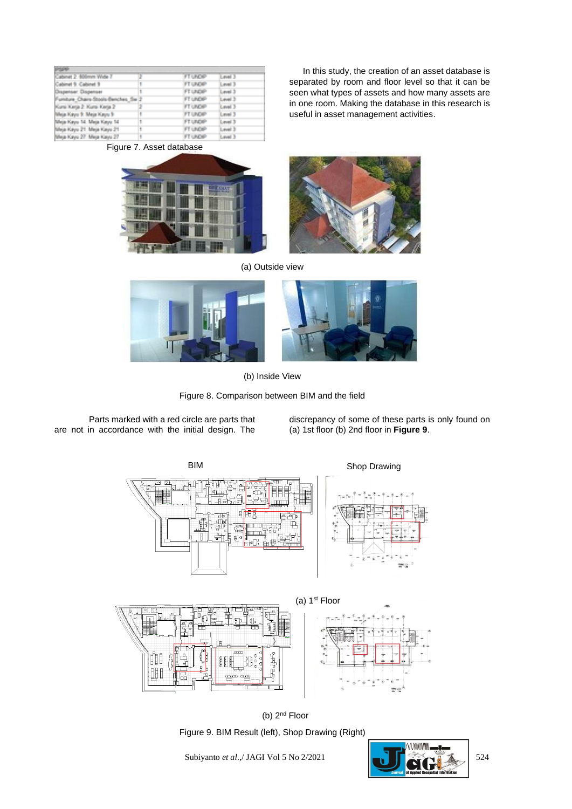| <b>SPECIAL</b>                       |   |                 |                  |
|--------------------------------------|---|-----------------|------------------|
| Cabinet 2: 600mm Wide 7              |   | <b>FT UNDER</b> | <b>Level 3</b>   |
| Cabinet 9: Cabinet 9                 |   | FT UNDER        | Level 3          |
| Orspenser Dispenser                  |   | FT UNDER        | Level 3          |
| Furniture Chairs-Stools-Benches, Sw. |   | FT UNDER        | Level 3          |
| Kuns Kena 2: Kuns Kena 2:            |   | FT UNDER        | Level 3          |
| Nilea Kaya S. Mea Kaya S.            |   | <b>FT UNDER</b> | Level 3          |
| Meja Kayu 14, Meja Kayu 14           | ۲ | FT UNDER        | <b>Level 3</b>   |
| Meja Kayu 21 Meja Kayu 21            | ۲ | FT UNDER        | Level 3          |
| Maria Franci 93 Maria Franci 97      |   | <b>FT LINGS</b> | <b>Canadi St</b> |

In this study, the creation of an asset database is separated by room and floor level so that it can be seen what types of assets and how many assets are in one room. Making the database in this research is useful in asset management activities.





(a) Outside view







Parts marked with a red circle are parts that are not in accordance with the initial design. The

discrepancy of some of these parts is only found on (a) 1st floor (b) 2nd floor in **Figure 9**.





Figure 9. BIM Result (left), Shop Drawing (Right) (b)  $2<sup>nd</sup>$  Floor

Subiyanto *et al.*,/ JAGI Vol 5 No 2/2021 524